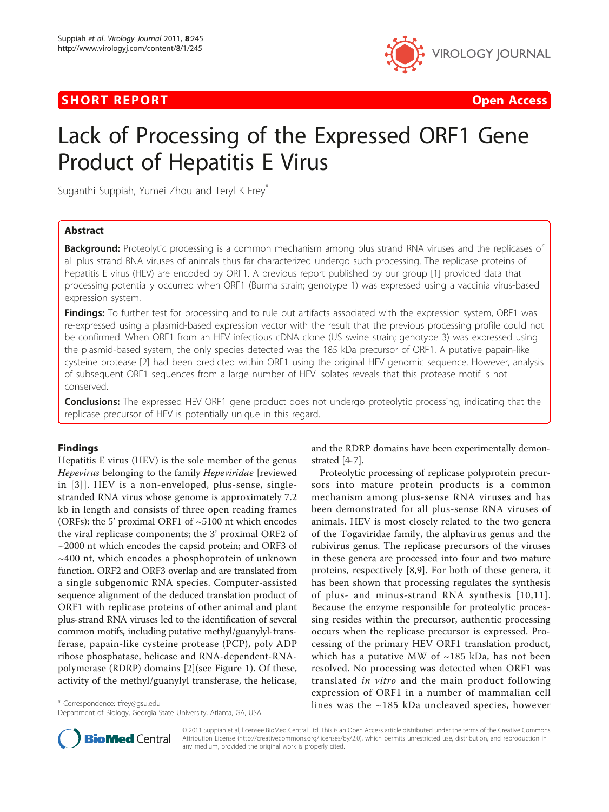## **SHORT REPORT CONSUMING THE CONSUMING THE CONSUMING THE CONSUMING THE CONSUMING THE CONSUMING THE CONSUMING THE CONSUMING THE CONSUMING THE CONSUMING THE CONSUMING THE CONSUMING THE CONSUMING THE CONSUMING THE CONSUMING TH**



# Lack of Processing of the Expressed ORF1 Gene Product of Hepatitis E Virus

Suganthi Suppiah, Yumei Zhou and Teryl K Frey\*

## Abstract

**Background:** Proteolytic processing is a common mechanism among plus strand RNA viruses and the replicases of all plus strand RNA viruses of animals thus far characterized undergo such processing. The replicase proteins of hepatitis E virus (HEV) are encoded by ORF1. A previous report published by our group [[1\]](#page-3-0) provided data that processing potentially occurred when ORF1 (Burma strain; genotype 1) was expressed using a vaccinia virus-based expression system.

**Findings:** To further test for processing and to rule out artifacts associated with the expression system, ORF1 was re-expressed using a plasmid-based expression vector with the result that the previous processing profile could not be confirmed. When ORF1 from an HEV infectious cDNA clone (US swine strain; genotype 3) was expressed using the plasmid-based system, the only species detected was the 185 kDa precursor of ORF1. A putative papain-like cysteine protease [\[2\]](#page-3-0) had been predicted within ORF1 using the original HEV genomic sequence. However, analysis of subsequent ORF1 sequences from a large number of HEV isolates reveals that this protease motif is not conserved.

Conclusions: The expressed HEV ORF1 gene product does not undergo proteolytic processing, indicating that the replicase precursor of HEV is potentially unique in this regard.

## Findings

Hepatitis E virus (HEV) is the sole member of the genus Hepevirus belonging to the family Hepeviridae [reviewed in [[3](#page-3-0)]]. HEV is a non-enveloped, plus-sense, singlestranded RNA virus whose genome is approximately 7.2 kb in length and consists of three open reading frames (ORFs): the 5' proximal ORF1 of ~5100 nt which encodes the viral replicase components; the 3' proximal ORF2 of  $\sim$ 2000 nt which encodes the capsid protein; and ORF3 of ~400 nt, which encodes a phosphoprotein of unknown function. ORF2 and ORF3 overlap and are translated from a single subgenomic RNA species. Computer-assisted sequence alignment of the deduced translation product of ORF1 with replicase proteins of other animal and plant plus-strand RNA viruses led to the identification of several common motifs, including putative methyl/guanylyl-transferase, papain-like cysteine protease (PCP), poly ADP ribose phosphatase, helicase and RNA-dependent-RNApolymerase (RDRP) domains [[2\]](#page-3-0)(see Figure [1\)](#page-1-0). Of these, activity of the methyl/guanylyl transferase, the helicase,

and the RDRP domains have been experimentally demonstrated [\[4](#page-3-0)-[7\]](#page-3-0).

Proteolytic processing of replicase polyprotein precursors into mature protein products is a common mechanism among plus-sense RNA viruses and has been demonstrated for all plus-sense RNA viruses of animals. HEV is most closely related to the two genera of the Togaviridae family, the alphavirus genus and the rubivirus genus. The replicase precursors of the viruses in these genera are processed into four and two mature proteins, respectively [[8,9\]](#page-3-0). For both of these genera, it has been shown that processing regulates the synthesis of plus- and minus-strand RNA synthesis [[10](#page-3-0),[11\]](#page-3-0). Because the enzyme responsible for proteolytic processing resides within the precursor, authentic processing occurs when the replicase precursor is expressed. Processing of the primary HEV ORF1 translation product, which has a putative MW of  $\sim$ 185 kDa, has not been resolved. No processing was detected when ORF1 was translated in vitro and the main product following expression of ORF1 in a number of mammalian cell \* Correspondence: [tfrey@gsu.edu](mailto:tfrey@gsu.edu) entity and the section of the set of the set of the set of the set of the set of the set of the set of the set of the set of the set of the set of the set of the set of the set of the set of



© 2011 Suppiah et al; licensee BioMed Central Ltd. This is an Open Access article distributed under the terms of the Creative Commons Attribution License [\(http://creativecommons.org/licenses/by/2.0](http://creativecommons.org/licenses/by/2.0)), which permits unrestricted use, distribution, and reproduction in any medium, provided the original work is properly cited.

Department of Biology, Georgia State University, Atlanta, GA, USA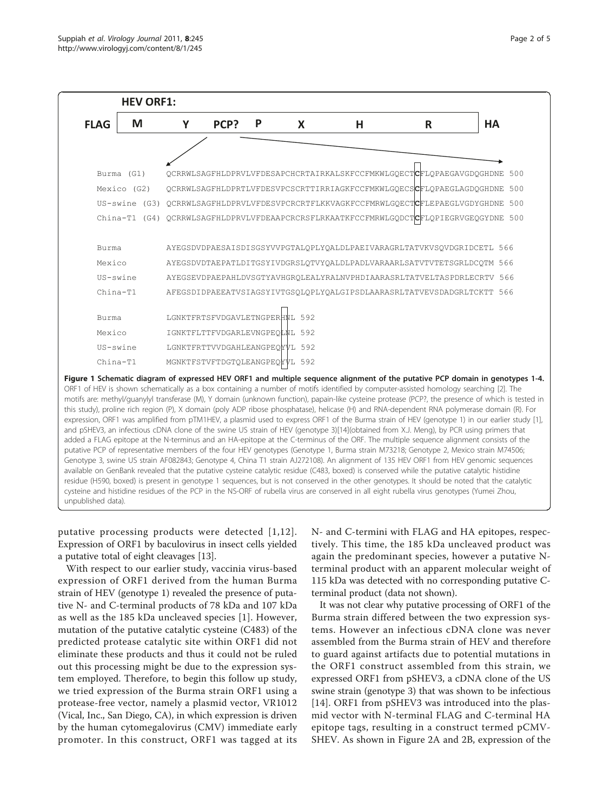<span id="page-1-0"></span>

ORF1 of HEV is shown schematically as a box containing a number of motifs identified by computer-assisted homology searching [[2](#page-3-0)]. The motifs are: methyl/guanylyl transferase (M), Y domain (unknown function), papain-like cysteine protease (PCP?, the presence of which is tested in this study), proline rich region (P), X domain (poly ADP ribose phosphatase), helicase (H) and RNA-dependent RNA polymerase domain (R). For expression, ORF1 was amplified from pTM1HEV, a plasmid used to express ORF1 of the Burma strain of HEV (genotype 1) in our earlier study [[1](#page-3-0)], and pSHEV3, an infectious cDNA clone of the swine US strain of HEV (genotype 3)[\[14\]](#page-3-0)(obtained from X.J. Meng), by PCR using primers that added a FLAG epitope at the N-terminus and an HA-epitope at the C-terminus of the ORF. The multiple sequence alignment consists of the putative PCP of representative members of the four HEV genotypes (Genotype 1, Burma strain M73218; Genotype 2, Mexico strain M74506; Genotype 3, swine US strain AF082843; Genotype 4, China T1 strain AJ272108). An alignment of 135 HEV ORF1 from HEV genomic sequences available on GenBank revealed that the putative cysteine catalytic residue (C483, boxed) is conserved while the putative catalytic histidine residue (H590, boxed) is present in genotype 1 sequences, but is not conserved in the other genotypes. It should be noted that the catalytic cysteine and histidine residues of the PCP in the NS-ORF of rubella virus are conserved in all eight rubella virus genotypes (Yumei Zhou, unpublished data).

putative processing products were detected [[1](#page-3-0),[12\]](#page-3-0). Expression of ORF1 by baculovirus in insect cells yielded a putative total of eight cleavages [[13\]](#page-3-0).

With respect to our earlier study, vaccinia virus-based expression of ORF1 derived from the human Burma strain of HEV (genotype 1) revealed the presence of putative N- and C-terminal products of 78 kDa and 107 kDa as well as the 185 kDa uncleaved species [[1\]](#page-3-0). However, mutation of the putative catalytic cysteine (C483) of the predicted protease catalytic site within ORF1 did not eliminate these products and thus it could not be ruled out this processing might be due to the expression system employed. Therefore, to begin this follow up study, we tried expression of the Burma strain ORF1 using a protease-free vector, namely a plasmid vector, VR1012 (Vical, Inc., San Diego, CA), in which expression is driven by the human cytomegalovirus (CMV) immediate early promoter. In this construct, ORF1 was tagged at its

N- and C-termini with FLAG and HA epitopes, respectively. This time, the 185 kDa uncleaved product was again the predominant species, however a putative Nterminal product with an apparent molecular weight of 115 kDa was detected with no corresponding putative Cterminal product (data not shown).

It was not clear why putative processing of ORF1 of the Burma strain differed between the two expression systems. However an infectious cDNA clone was never assembled from the Burma strain of HEV and therefore to guard against artifacts due to potential mutations in the ORF1 construct assembled from this strain, we expressed ORF1 from pSHEV3, a cDNA clone of the US swine strain (genotype 3) that was shown to be infectious [[14](#page-3-0)]. ORF1 from pSHEV3 was introduced into the plasmid vector with N-terminal FLAG and C-terminal HA epitope tags, resulting in a construct termed pCMV-SHEV. As shown in Figure [2A](#page-2-0) and [2B,](#page-2-0) expression of the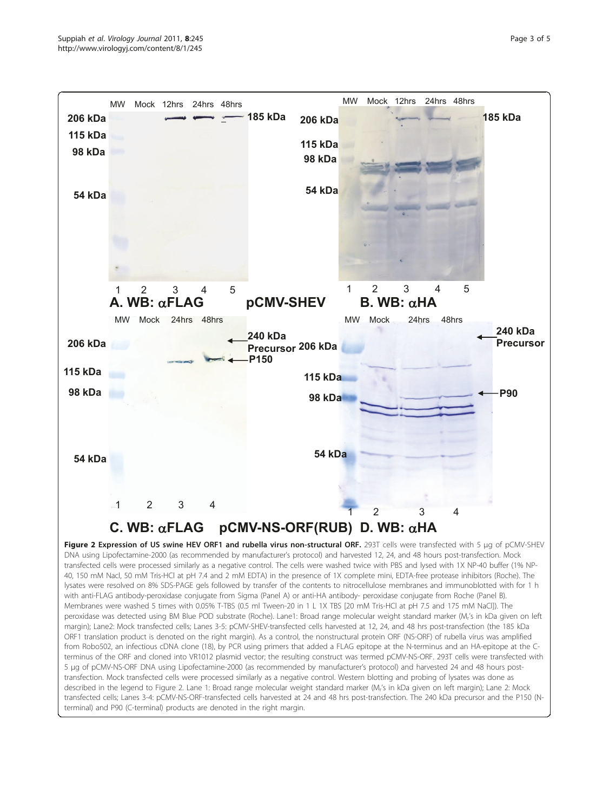<span id="page-2-0"></span>

Figure 2 Expression of US swine HEV ORF1 and rubella virus non-structural ORF. 293T cells were transfected with 5 μg of pCMV-SHEV DNA using Lipofectamine-2000 (as recommended by manufacturer's protocol) and harvested 12, 24, and 48 hours post-transfection. Mock transfected cells were processed similarly as a negative control. The cells were washed twice with PBS and lysed with 1X NP-40 buffer (1% NP-40, 150 mM Nacl, 50 mM Tris-HCl at pH 7.4 and 2 mM EDTA) in the presence of 1X complete mini, EDTA-free protease inhibitors (Roche). The lysates were resolved on 8% SDS-PAGE gels followed by transfer of the contents to nitrocellulose membranes and immunoblotted with for 1 h with anti-FLAG antibody-peroxidase conjugate from Sigma (Panel A) or anti-HA antibody- peroxidase conjugate from Roche (Panel B). Membranes were washed 5 times with 0.05% T-TBS (0.5 ml Tween-20 in 1 L 1X TBS [20 mM Tris-HCl at pH 7.5 and 175 mM NaCl]). The peroxidase was detected using BM Blue POD substrate (Roche). Lane1: Broad range molecular weight standard marker (Mr's in kDa given on left margin); Lane2: Mock transfected cells; Lanes 3-5: pCMV-SHEV-transfected cells harvested at 12, 24, and 48 hrs post-transfection (the 185 kDa ORF1 translation product is denoted on the right margin). As a control, the nonstructural protein ORF (NS-ORF) of rubella virus was amplified from Robo502, an infectious cDNA clone (18), by PCR using primers that added a FLAG epitope at the N-terminus and an HA-epitope at the Cterminus of the ORF and cloned into VR1012 plasmid vector; the resulting construct was termed pCMV-NS-ORF. 293T cells were transfected with 5 μg of pCMV-NS-ORF DNA using Lipofectamine-2000 (as recommended by manufacturer's protocol) and harvested 24 and 48 hours posttransfection. Mock transfected cells were processed similarly as a negative control. Western blotting and probing of lysates was done as described in the legend to Figure 2. Lane 1: Broad range molecular weight standard marker (M<sub>i</sub>'s in kDa given on left margin); Lane 2: Mock transfected cells; Lanes 3-4: pCMV-NS-ORF-transfected cells harvested at 24 and 48 hrs post-transfection. The 240 kDa precursor and the P150 (Nterminal) and P90 (C-terminal) products are denoted in the right margin.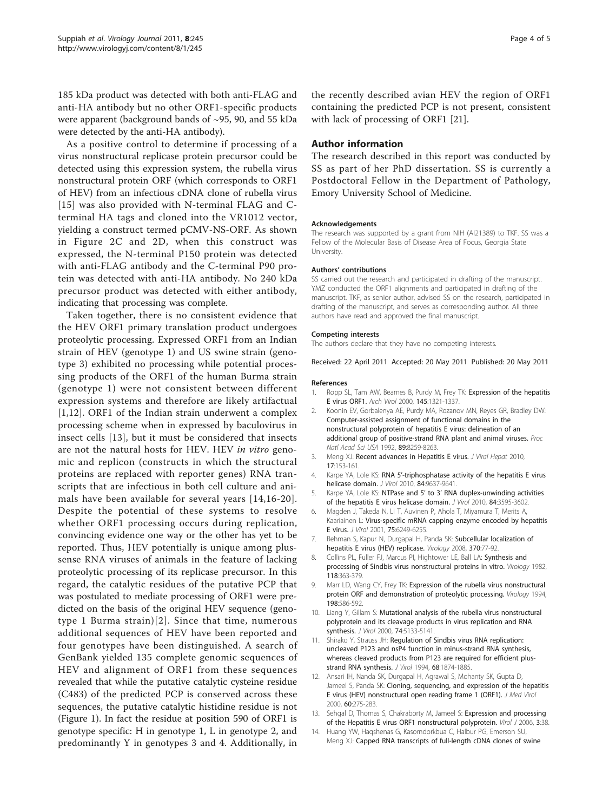<span id="page-3-0"></span>185 kDa product was detected with both anti-FLAG and anti-HA antibody but no other ORF1-specific products were apparent (background bands of ~95, 90, and 55 kDa were detected by the anti-HA antibody).

As a positive control to determine if processing of a virus nonstructural replicase protein precursor could be detected using this expression system, the rubella virus nonstructural protein ORF (which corresponds to ORF1 of HEV) from an infectious cDNA clone of rubella virus [[15](#page-4-0)] was also provided with N-terminal FLAG and Cterminal HA tags and cloned into the VR1012 vector, yielding a construct termed pCMV-NS-ORF. As shown in Figure [2C](#page-2-0) and [2D](#page-2-0), when this construct was expressed, the N-terminal P150 protein was detected with anti-FLAG antibody and the C-terminal P90 protein was detected with anti-HA antibody. No 240 kDa precursor product was detected with either antibody, indicating that processing was complete.

Taken together, there is no consistent evidence that the HEV ORF1 primary translation product undergoes proteolytic processing. Expressed ORF1 from an Indian strain of HEV (genotype 1) and US swine strain (genotype 3) exhibited no processing while potential processing products of the ORF1 of the human Burma strain (genotype 1) were not consistent between different expression systems and therefore are likely artifactual [1,12]. ORF1 of the Indian strain underwent a complex processing scheme when in expressed by baculovirus in insect cells [13], but it must be considered that insects are not the natural hosts for HEV. HEV in vitro genomic and replicon (constructs in which the structural proteins are replaced with reporter genes) RNA transcripts that are infectious in both cell culture and animals have been available for several years [14[,16-20\]](#page-4-0). Despite the potential of these systems to resolve whether ORF1 processing occurs during replication, convincing evidence one way or the other has yet to be reported. Thus, HEV potentially is unique among plussense RNA viruses of animals in the feature of lacking proteolytic processing of its replicase precursor. In this regard, the catalytic residues of the putative PCP that was postulated to mediate processing of ORF1 were predicted on the basis of the original HEV sequence (genotype 1 Burma strain)[2]. Since that time, numerous additional sequences of HEV have been reported and four genotypes have been distinguished. A search of GenBank yielded 135 complete genomic sequences of HEV and alignment of ORF1 from these sequences revealed that while the putative catalytic cysteine residue (C483) of the predicted PCP is conserved across these sequences, the putative catalytic histidine residue is not (Figure [1\)](#page-1-0). In fact the residue at position 590 of ORF1 is genotype specific: H in genotype 1, L in genotype 2, and predominantly Y in genotypes 3 and 4. Additionally, in

the recently described avian HEV the region of ORF1 containing the predicted PCP is not present, consistent with lack of processing of ORF1 [[21](#page-4-0)].

## Author information

The research described in this report was conducted by SS as part of her PhD dissertation. SS is currently a Postdoctoral Fellow in the Department of Pathology, Emory University School of Medicine.

#### Acknowledgements

The research was supported by a grant from NIH (AI21389) to TKF. SS was a Fellow of the Molecular Basis of Disease Area of Focus, Georgia State University.

#### Authors' contributions

SS carried out the research and participated in drafting of the manuscript. YMZ conducted the ORF1 alignments and participated in drafting of the manuscript. TKF, as senior author, advised SS on the research, participated in drafting of the manuscript, and serves as corresponding author. All three authors have read and approved the final manuscript.

#### Competing interests

The authors declare that they have no competing interests.

Received: 22 April 2011 Accepted: 20 May 2011 Published: 20 May 2011

#### References

- 1. Ropp SL, Tam AW, Beames B, Purdy M, Frey TK: [Expression of the hepatitis](http://www.ncbi.nlm.nih.gov/pubmed/10963340?dopt=Abstract) [E virus ORF1.](http://www.ncbi.nlm.nih.gov/pubmed/10963340?dopt=Abstract) Arch Virol 2000, 145:1321-1337.
- Koonin EV, Gorbalenya AE, Purdy MA, Rozanov MN, Reyes GR, Bradley DW: [Computer-assisted assignment of functional domains in the](http://www.ncbi.nlm.nih.gov/pubmed/1518855?dopt=Abstract) [nonstructural polyprotein of hepatitis E virus: delineation of an](http://www.ncbi.nlm.nih.gov/pubmed/1518855?dopt=Abstract) [additional group of positive-strand RNA plant and animal viruses.](http://www.ncbi.nlm.nih.gov/pubmed/1518855?dopt=Abstract) Proc Natl Acad Sci USA 1992, 89:8259-8263.
- 3. Meng XJ: [Recent advances in Hepatitis E virus.](http://www.ncbi.nlm.nih.gov/pubmed/20040046?dopt=Abstract) J Viral Hepat 2010, 17:153-161.
- 4. Karpe YA, Lole KS: RNA 5'[-triphosphatase activity of the hepatitis E virus](http://www.ncbi.nlm.nih.gov/pubmed/20592074?dopt=Abstract) [helicase domain.](http://www.ncbi.nlm.nih.gov/pubmed/20592074?dopt=Abstract) J Virol 2010, 84:9637-9641.
- 5. Karpe YA, Lole KS: NTPase and 5' to 3' [RNA duplex-unwinding activities](http://www.ncbi.nlm.nih.gov/pubmed/20071563?dopt=Abstract) [of the hepatitis E virus helicase domain.](http://www.ncbi.nlm.nih.gov/pubmed/20071563?dopt=Abstract) J Virol 2010, 84:3595-3602.
- 6. Magden J, Takeda N, Li T, Auvinen P, Ahola T, Miyamura T, Merits A, Kaariainen L: [Virus-specific mRNA capping enzyme encoded by hepatitis](http://www.ncbi.nlm.nih.gov/pubmed/11413290?dopt=Abstract) [E virus.](http://www.ncbi.nlm.nih.gov/pubmed/11413290?dopt=Abstract) J Virol 2001, 75:6249-6255.
- 7. Rehman S, Kapur N, Durgapal H, Panda SK: [Subcellular localization of](http://www.ncbi.nlm.nih.gov/pubmed/17904184?dopt=Abstract) [hepatitis E virus \(HEV\) replicase.](http://www.ncbi.nlm.nih.gov/pubmed/17904184?dopt=Abstract) Virology 2008, 370:77-92.
- 8. Collins PL, Fuller FJ, Marcus PI, Hightower LE, Ball LA: [Synthesis and](http://www.ncbi.nlm.nih.gov/pubmed/6920207?dopt=Abstract) [processing of Sindbis virus nonstructural proteins in vitro.](http://www.ncbi.nlm.nih.gov/pubmed/6920207?dopt=Abstract) Virology 1982, 118:363-379.
- 9. Marr LD, Wang CY, Frey TK: [Expression of the rubella virus nonstructural](http://www.ncbi.nlm.nih.gov/pubmed/8291241?dopt=Abstract) [protein ORF and demonstration of proteolytic processing.](http://www.ncbi.nlm.nih.gov/pubmed/8291241?dopt=Abstract) Virology 1994, 198:586-592.
- 10. Liang Y, Gillam S: [Mutational analysis of the rubella virus nonstructural](http://www.ncbi.nlm.nih.gov/pubmed/10799588?dopt=Abstract) [polyprotein and its cleavage products in virus replication and RNA](http://www.ncbi.nlm.nih.gov/pubmed/10799588?dopt=Abstract) [synthesis.](http://www.ncbi.nlm.nih.gov/pubmed/10799588?dopt=Abstract) J Virol 2000, 74:5133-5141.
- 11. Shirako Y, Strauss JH: [Regulation of Sindbis virus RNA replication:](http://www.ncbi.nlm.nih.gov/pubmed/8107248?dopt=Abstract) [uncleaved P123 and nsP4 function in minus-strand RNA synthesis,](http://www.ncbi.nlm.nih.gov/pubmed/8107248?dopt=Abstract) [whereas cleaved products from P123 are required for efficient plus](http://www.ncbi.nlm.nih.gov/pubmed/8107248?dopt=Abstract)[strand RNA synthesis.](http://www.ncbi.nlm.nih.gov/pubmed/8107248?dopt=Abstract) J Virol 1994, 68:1874-1885.
- 12. Ansari IH, Nanda SK, Durgapal H, Agrawal S, Mohanty SK, Gupta D, Jameel S, Panda SK: [Cloning, sequencing, and expression of the hepatitis](http://www.ncbi.nlm.nih.gov/pubmed/10630959?dopt=Abstract) [E virus \(HEV\) nonstructural open reading frame 1 \(ORF1\).](http://www.ncbi.nlm.nih.gov/pubmed/10630959?dopt=Abstract) J Med Virol 2000, 60:275-283.
- 13. Sehgal D, Thomas S, Chakraborty M, Jameel S: [Expression and processing](http://www.ncbi.nlm.nih.gov/pubmed/16725054?dopt=Abstract) [of the Hepatitis E virus ORF1 nonstructural polyprotein.](http://www.ncbi.nlm.nih.gov/pubmed/16725054?dopt=Abstract) Virol J 2006, 3:38.
- 14. Huang YW, Haqshenas G, Kasorndorkbua C, Halbur PG, Emerson SU, Meng XJ: [Capped RNA transcripts of full-length cDNA clones of swine](http://www.ncbi.nlm.nih.gov/pubmed/15650181?dopt=Abstract)